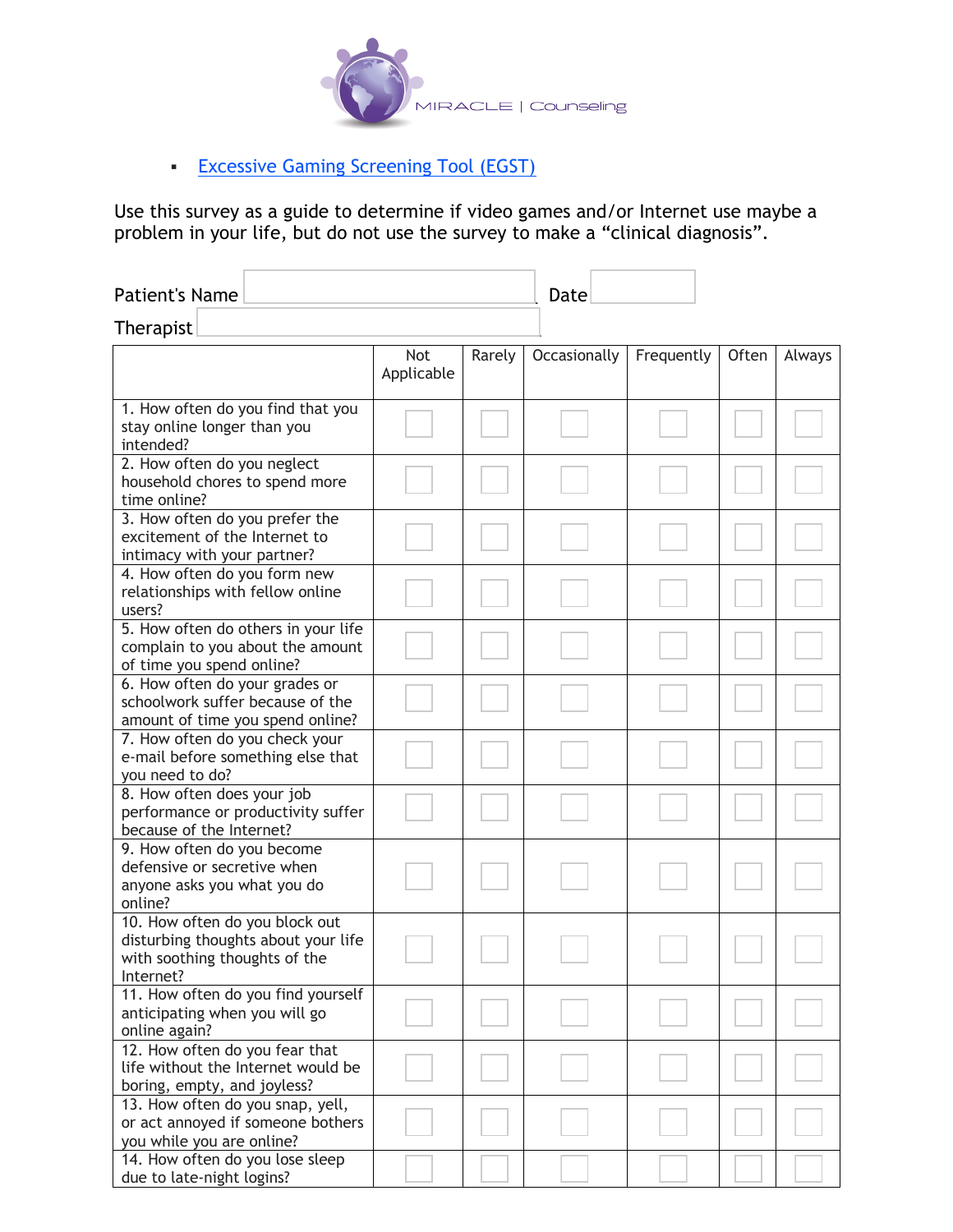

## **Excessive Gaming Screening Tool (EGST)**

Use this survey as a guide to determine if video games and/or Internet use maybe a problem in your life, but do not use the survey to make a "clinical diagnosis".

| Patient's Name   | Date |  |
|------------------|------|--|
| <b>Therapist</b> |      |  |

|                                                                                                                     | Not<br>Applicable | Rarely | Occasionally | Frequently | Often | Always |
|---------------------------------------------------------------------------------------------------------------------|-------------------|--------|--------------|------------|-------|--------|
| 1. How often do you find that you<br>stay online longer than you<br>intended?                                       |                   |        |              |            |       |        |
| 2. How often do you neglect<br>household chores to spend more<br>time online?                                       |                   |        |              |            |       |        |
| 3. How often do you prefer the<br>excitement of the Internet to<br>intimacy with your partner?                      |                   |        |              |            |       |        |
| 4. How often do you form new<br>relationships with fellow online<br>users?                                          |                   |        |              |            |       |        |
| 5. How often do others in your life<br>complain to you about the amount<br>of time you spend online?                |                   |        |              |            |       |        |
| 6. How often do your grades or<br>schoolwork suffer because of the<br>amount of time you spend online?              |                   |        |              |            |       |        |
| 7. How often do you check your<br>e-mail before something else that<br>you need to do?                              |                   |        |              |            |       |        |
| 8. How often does your job<br>performance or productivity suffer<br>because of the Internet?                        |                   |        |              |            |       |        |
| 9. How often do you become<br>defensive or secretive when<br>anyone asks you what you do<br>online?                 |                   |        |              |            |       |        |
| 10. How often do you block out<br>disturbing thoughts about your life<br>with soothing thoughts of the<br>Internet? |                   |        |              |            |       |        |
| 11. How often do you find yourself<br>anticipating when you will go<br>online again?                                |                   |        |              |            |       |        |
| 12. How often do you fear that<br>life without the Internet would be<br>boring, empty, and joyless?                 |                   |        |              |            |       |        |
| 13. How often do you snap, yell,<br>or act annoyed if someone bothers<br>you while you are online?                  |                   |        |              |            |       |        |
| 14. How often do you lose sleep<br>due to late-night logins?                                                        |                   |        |              |            |       |        |